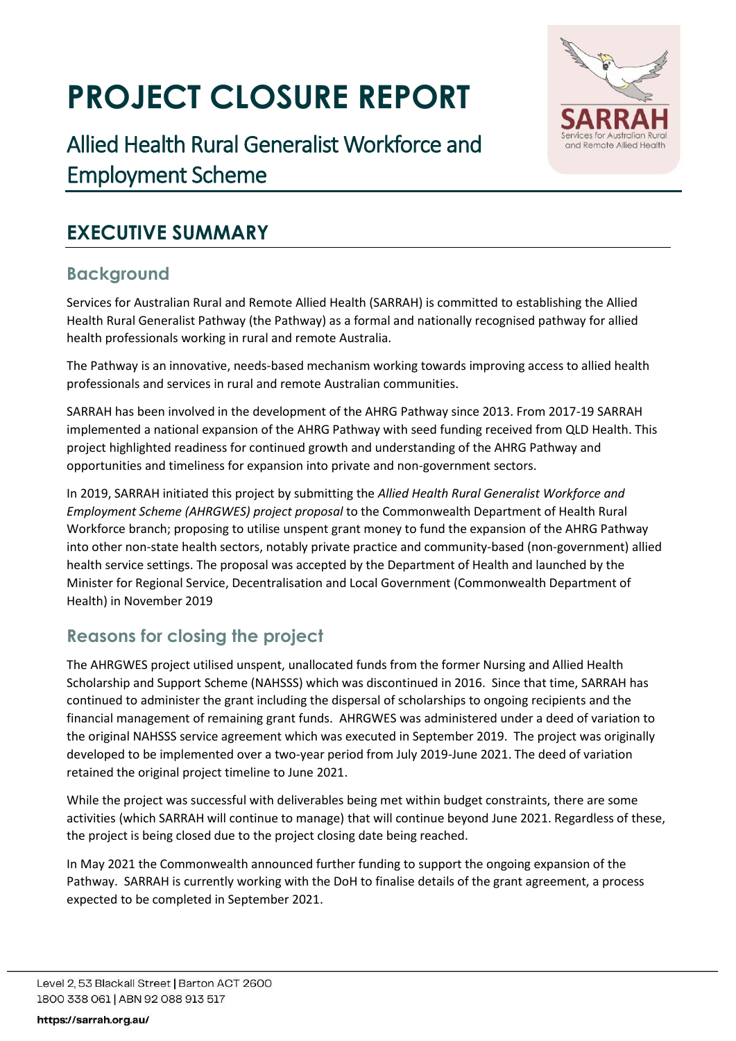# **PROJECT CLOSURE REPORT**



## **EXECUTIVE SUMMARY**

## **Background**

Services for Australian Rural and Remote Allied Health (SARRAH) is committed to establishing the Allied Health Rural Generalist Pathway (the Pathway) as a formal and nationally recognised pathway for allied health professionals working in rural and remote Australia.

and Remote Allied Health

The Pathway is an innovative, needs-based mechanism working towards improving access to allied health professionals and services in rural and remote Australian communities.

SARRAH has been involved in the development of the AHRG Pathway since 2013. From 2017-19 SARRAH implemented a national expansion of the AHRG Pathway with seed funding received from QLD Health. This project highlighted readiness for continued growth and understanding of the AHRG Pathway and opportunities and timeliness for expansion into private and non-government sectors.

In 2019, SARRAH initiated this project by submitting the *Allied Health Rural Generalist Workforce and Employment Scheme (AHRGWES) project proposal* to the Commonwealth Department of Health Rural Workforce branch; proposing to utilise unspent grant money to fund the expansion of the AHRG Pathway into other non-state health sectors, notably private practice and community-based (non-government) allied health service settings. The proposal was accepted by the Department of Health and launched by the Minister for Regional Service, Decentralisation and Local Government (Commonwealth Department of Health) in November 2019

## **Reasons for closing the project**

The AHRGWES project utilised unspent, unallocated funds from the former Nursing and Allied Health Scholarship and Support Scheme (NAHSSS) which was discontinued in 2016. Since that time, SARRAH has continued to administer the grant including the dispersal of scholarships to ongoing recipients and the financial management of remaining grant funds. AHRGWES was administered under a deed of variation to the original NAHSSS service agreement which was executed in September 2019. The project was originally developed to be implemented over a two-year period from July 2019-June 2021. The deed of variation retained the original project timeline to June 2021.

While the project was successful with deliverables being met within budget constraints, there are some activities (which SARRAH will continue to manage) that will continue beyond June 2021. Regardless of these, the project is being closed due to the project closing date being reached.

In May 2021 the Commonwealth announced further funding to support the ongoing expansion of the Pathway. SARRAH is currently working with the DoH to finalise details of the grant agreement, a process expected to be completed in September 2021.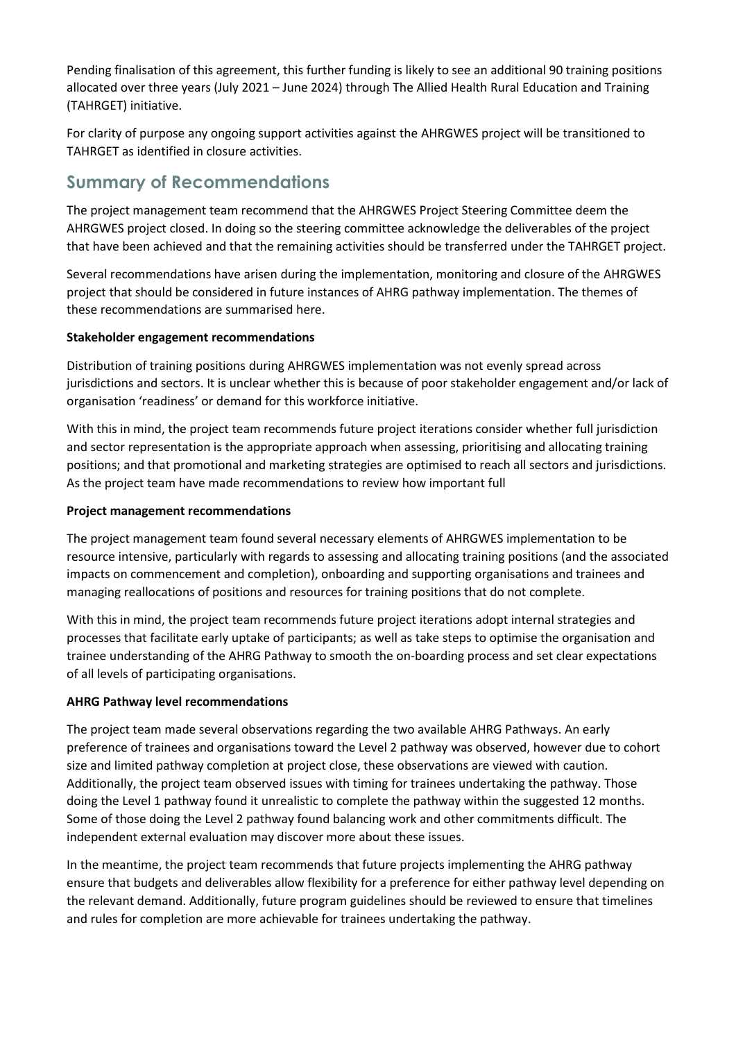Pending finalisation of this agreement, this further funding is likely to see an additional 90 training positions allocated over three years (July 2021 – June 2024) through The Allied Health Rural Education and Training (TAHRGET) initiative.

For clarity of purpose any ongoing support activities against the AHRGWES project will be transitioned to TAHRGET as identified in closure activities.

## **Summary of Recommendations**

The project management team recommend that the AHRGWES Project Steering Committee deem the AHRGWES project closed. In doing so the steering committee acknowledge the deliverables of the project that have been achieved and that the remaining activities should be transferred under the TAHRGET project.

Several recommendations have arisen during the implementation, monitoring and closure of the AHRGWES project that should be considered in future instances of AHRG pathway implementation. The themes of these recommendations are summarised here.

### **Stakeholder engagement recommendations**

Distribution of training positions during AHRGWES implementation was not evenly spread across jurisdictions and sectors. It is unclear whether this is because of poor stakeholder engagement and/or lack of organisation 'readiness' or demand for this workforce initiative.

With this in mind, the project team recommends future project iterations consider whether full jurisdiction and sector representation is the appropriate approach when assessing, prioritising and allocating training positions; and that promotional and marketing strategies are optimised to reach all sectors and jurisdictions. As the project team have made recommendations to review how important full

#### **Project management recommendations**

The project management team found several necessary elements of AHRGWES implementation to be resource intensive, particularly with regards to assessing and allocating training positions (and the associated impacts on commencement and completion), onboarding and supporting organisations and trainees and managing reallocations of positions and resources for training positions that do not complete.

With this in mind, the project team recommends future project iterations adopt internal strategies and processes that facilitate early uptake of participants; as well as take steps to optimise the organisation and trainee understanding of the AHRG Pathway to smooth the on-boarding process and set clear expectations of all levels of participating organisations.

### **AHRG Pathway level recommendations**

The project team made several observations regarding the two available AHRG Pathways. An early preference of trainees and organisations toward the Level 2 pathway was observed, however due to cohort size and limited pathway completion at project close, these observations are viewed with caution. Additionally, the project team observed issues with timing for trainees undertaking the pathway. Those doing the Level 1 pathway found it unrealistic to complete the pathway within the suggested 12 months. Some of those doing the Level 2 pathway found balancing work and other commitments difficult. The independent external evaluation may discover more about these issues.

In the meantime, the project team recommends that future projects implementing the AHRG pathway ensure that budgets and deliverables allow flexibility for a preference for either pathway level depending on the relevant demand. Additionally, future program guidelines should be reviewed to ensure that timelines and rules for completion are more achievable for trainees undertaking the pathway.